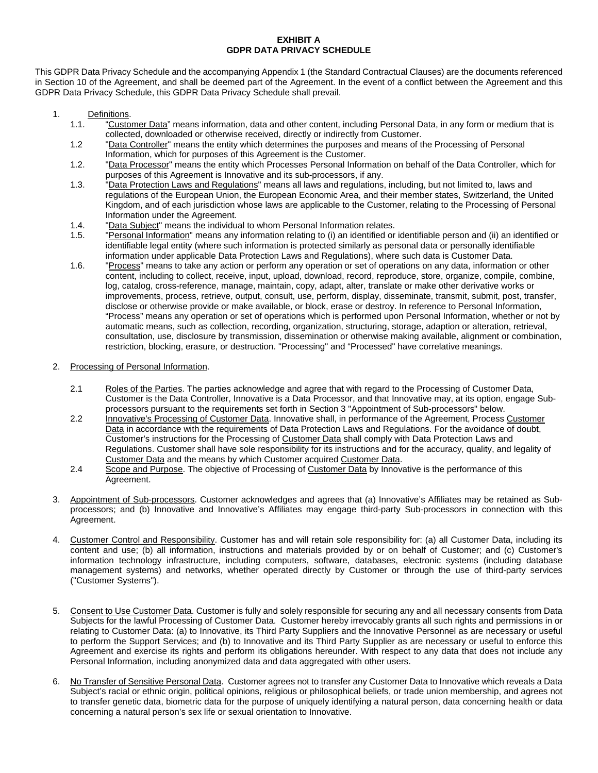#### **EXHIBIT A GDPR DATA PRIVACY SCHEDULE**

This GDPR Data Privacy Schedule and the accompanying Appendix 1 (the Standard Contractual Clauses) are the documents referenced in Section 10 of the Agreement, and shall be deemed part of the Agreement. In the event of a conflict between the Agreement and this GDPR Data Privacy Schedule, this GDPR Data Privacy Schedule shall prevail.

- 1. Definitions.<br>1.1. "Custo
	- "Customer Data" means information, data and other content, including Personal Data, in any form or medium that is collected, downloaded or otherwise received, directly or indirectly from Customer.
	- 1.2 "Data Controller" means the entity which determines the purposes and means of the Processing of Personal Information, which for purposes of this Agreement is the Customer.
	- 1.2. "Data Processor" means the entity which Processes Personal Information on behalf of the Data Controller, which for purposes of this Agreement is Innovative and its sub-processors, if any.
	- 1.3. "Data Protection Laws and Regulations" means all laws and regulations, including, but not limited to, laws and regulations of the European Union, the European Economic Area, and their member states, Switzerland, the United Kingdom, and of each jurisdiction whose laws are applicable to the Customer, relating to the Processing of Personal Information under the Agreement.
	- 1.4. "Data Subject" means the individual to whom Personal Information relates.<br>1.5. "Personal Information" means any information relating to (i) an identified or
	- 1.5. "Personal Information" means any information relating to (i) an identified or identifiable person and (ii) an identified or identifiable legal entity (where such information is protected similarly as personal data or personally identifiable information under applicable Data Protection Laws and Regulations), where such data is Customer Data.
	- 1.6. "Process" means to take any action or perform any operation or set of operations on any data, information or other content, including to collect, receive, input, upload, download, record, reproduce, store, organize, compile, combine, log, catalog, cross-reference, manage, maintain, copy, adapt, alter, translate or make other derivative works or improvements, process, retrieve, output, consult, use, perform, display, disseminate, transmit, submit, post, transfer, disclose or otherwise provide or make available, or block, erase or destroy. In reference to Personal Information, "Process" means any operation or set of operations which is performed upon Personal Information, whether or not by automatic means, such as collection, recording, organization, structuring, storage, adaption or alteration, retrieval, consultation, use, disclosure by transmission, dissemination or otherwise making available, alignment or combination, restriction, blocking, erasure, or destruction. "Processing" and "Processed" have correlative meanings.
- 2. Processing of Personal Information.
	- 2.1 Roles of the Parties. The parties acknowledge and agree that with regard to the Processing of Customer Data, Customer is the Data Controller, Innovative is a Data Processor, and that Innovative may, at its option, engage Subprocessors pursuant to the requirements set forth in Section 3 "Appointment of Sub-processors" below.
	- 2.2 Innovative's Processing of Customer Data. Innovative shall, in performance of the Agreement, Process Customer Data in accordance with the requirements of Data Protection Laws and Regulations. For the avoidance of doubt, Customer's instructions for the Processing of Customer Data shall comply with Data Protection Laws and Regulations. Customer shall have sole responsibility for its instructions and for the accuracy, quality, and legality of Customer Data and the means by which Customer acquired Customer Data.
	- 2.4 Scope and Purpose. The objective of Processing of Customer Data by Innovative is the performance of this Agreement.
- 3. Appointment of Sub-processors. Customer acknowledges and agrees that (a) Innovative's Affiliates may be retained as Subprocessors; and (b) Innovative and Innovative's Affiliates may engage third-party Sub-processors in connection with this Agreement.
- 4. Customer Control and Responsibility. Customer has and will retain sole responsibility for: (a) all Customer Data, including its content and use; (b) all information, instructions and materials provided by or on behalf of Customer; and (c) Customer's information technology infrastructure, including computers, software, databases, electronic systems (including database management systems) and networks, whether operated directly by Customer or through the use of third-party services ("Customer Systems").
- 5. Consent to Use Customer Data. Customer is fully and solely responsible for securing any and all necessary consents from Data Subjects for the lawful Processing of Customer Data. Customer hereby irrevocably grants all such rights and permissions in or relating to Customer Data: (a) to Innovative, its Third Party Suppliers and the Innovative Personnel as are necessary or useful to perform the Support Services; and (b) to Innovative and its Third Party Supplier as are necessary or useful to enforce this Agreement and exercise its rights and perform its obligations hereunder. With respect to any data that does not include any Personal Information, including anonymized data and data aggregated with other users.
- 6. No Transfer of Sensitive Personal Data. Customer agrees not to transfer any Customer Data to Innovative which reveals a Data Subject's racial or ethnic origin, political opinions, religious or philosophical beliefs, or trade union membership, and agrees not to transfer genetic data, biometric data for the purpose of uniquely identifying a natural person, data concerning health or data concerning a natural person's sex life or sexual orientation to Innovative.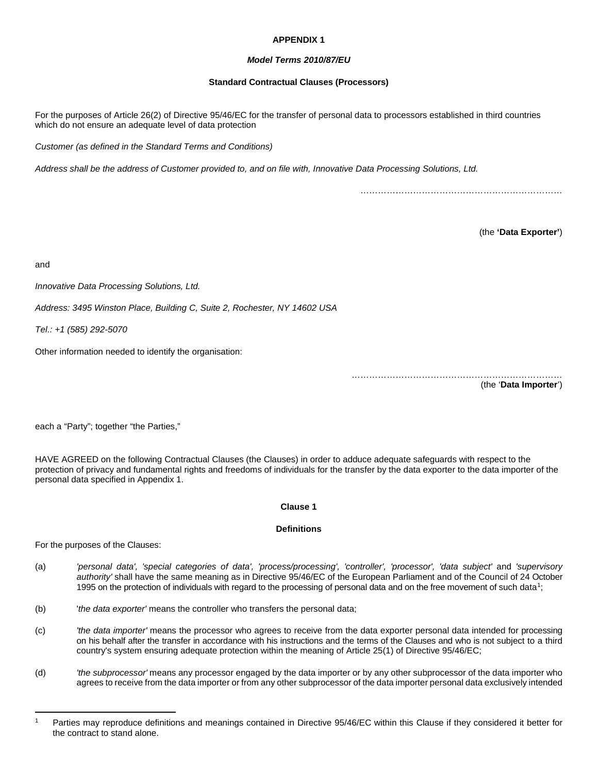## **APPENDIX 1**

## *Model Terms 2010/87/EU*

## **Standard Contractual Clauses (Processors)**

For the purposes of Article 26(2) of Directive 95/46/EC for the transfer of personal data to processors established in third countries which do not ensure an adequate level of data protection

*Customer (as defined in the Standard Terms and Conditions)*

*Address shall be the address of Customer provided to, and on file with, Innovative Data Processing Solutions, Ltd.*

……………………………………………………………

(the **'Data Exporter'**)

and

*Innovative Data Processing Solutions, Ltd.*

*Address: 3495 Winston Place, Building C, Suite 2, Rochester, NY 14602 USA* 

*Tel.: +1 (585) 292-5070*

Other information needed to identify the organisation:

……………………………………………………………… (the '**Data Importer**')

each a "Party"; together "the Parties,"

HAVE AGREED on the following Contractual Clauses (the Clauses) in order to adduce adequate safeguards with respect to the protection of privacy and fundamental rights and freedoms of individuals for the transfer by the data exporter to the data importer of the personal data specified in Appendix 1.

## **Clause 1**

## **Definitions**

For the purposes of the Clauses:

 $\overline{a}$ 

- (a) *'personal data', 'special categories of data', 'process/processing', 'controller', 'processor', 'data subject' and 'supervisory authority'* shall have the same meaning as in Directive 95/46/EC of the European Parliament and of the Council of 24 October 1995 on the protection of individuals with regard to the processing of personal data and on the free movement of such data[1;](#page-1-0)
- (b) '*the data exporter'* means the controller who transfers the personal data;
- (c) *'the data importer'* means the processor who agrees to receive from the data exporter personal data intended for processing on his behalf after the transfer in accordance with his instructions and the terms of the Clauses and who is not subject to a third country's system ensuring adequate protection within the meaning of Article 25(1) of Directive 95/46/EC;
- (d) *'the subprocessor'* means any processor engaged by the data importer or by any other subprocessor of the data importer who agrees to receive from the data importer or from any other subprocessor of the data importer personal data exclusively intended

<span id="page-1-0"></span>Parties may reproduce definitions and meanings contained in Directive 95/46/EC within this Clause if they considered it better for the contract to stand alone.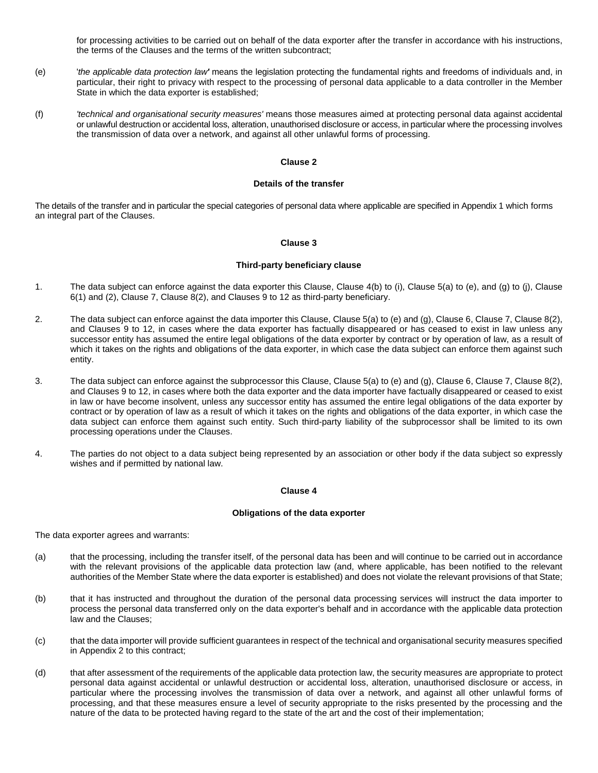for processing activities to be carried out on behalf of the data exporter after the transfer in accordance with his instructions, the terms of the Clauses and the terms of the written subcontract;

- (e) '*the applicable data protection law'* means the legislation protecting the fundamental rights and freedoms of individuals and, in particular, their right to privacy with respect to the processing of personal data applicable to a data controller in the Member State in which the data exporter is established;
- (f) *'technical and organisational security measures'* means those measures aimed at protecting personal data against accidental or unlawful destruction or accidental loss, alteration, unauthorised disclosure or access, in particular where the processing involves the transmission of data over a network, and against all other unlawful forms of processing.

#### **Clause 2**

#### **Details of the transfer**

The details of the transfer and in particular the special categories of personal data where applicable are specified in Appendix 1 which forms an integral part of the Clauses.

#### **Clause 3**

#### **Third-party beneficiary clause**

- 1. The data subject can enforce against the data exporter this Clause, Clause 4(b) to (i), Clause 5(a) to (e), and (g) to (j), Clause 6(1) and (2), Clause 7, Clause 8(2), and Clauses 9 to 12 as third-party beneficiary.
- 2. The data subject can enforce against the data importer this Clause, Clause 5(a) to (e) and (g), Clause 6, Clause 7, Clause 8(2), and Clauses 9 to 12, in cases where the data exporter has factually disappeared or has ceased to exist in law unless any successor entity has assumed the entire legal obligations of the data exporter by contract or by operation of law, as a result of which it takes on the rights and obligations of the data exporter, in which case the data subject can enforce them against such entity.
- 3. The data subject can enforce against the subprocessor this Clause, Clause 5(a) to (e) and (g), Clause 6, Clause 7, Clause 8(2), and Clauses 9 to 12, in cases where both the data exporter and the data importer have factually disappeared or ceased to exist in law or have become insolvent, unless any successor entity has assumed the entire legal obligations of the data exporter by contract or by operation of law as a result of which it takes on the rights and obligations of the data exporter, in which case the data subject can enforce them against such entity. Such third-party liability of the subprocessor shall be limited to its own processing operations under the Clauses.
- 4. The parties do not object to a data subject being represented by an association or other body if the data subject so expressly wishes and if permitted by national law.

## **Clause 4**

#### **Obligations of the data exporter**

The data exporter agrees and warrants:

- (a) that the processing, including the transfer itself, of the personal data has been and will continue to be carried out in accordance with the relevant provisions of the applicable data protection law (and, where applicable, has been notified to the relevant authorities of the Member State where the data exporter is established) and does not violate the relevant provisions of that State;
- (b) that it has instructed and throughout the duration of the personal data processing services will instruct the data importer to process the personal data transferred only on the data exporter's behalf and in accordance with the applicable data protection law and the Clauses;
- (c) that the data importer will provide sufficient guarantees in respect of the technical and organisational security measures specified in Appendix 2 to this contract;
- (d) that after assessment of the requirements of the applicable data protection law, the security measures are appropriate to protect personal data against accidental or unlawful destruction or accidental loss, alteration, unauthorised disclosure or access, in particular where the processing involves the transmission of data over a network, and against all other unlawful forms of processing, and that these measures ensure a level of security appropriate to the risks presented by the processing and the nature of the data to be protected having regard to the state of the art and the cost of their implementation;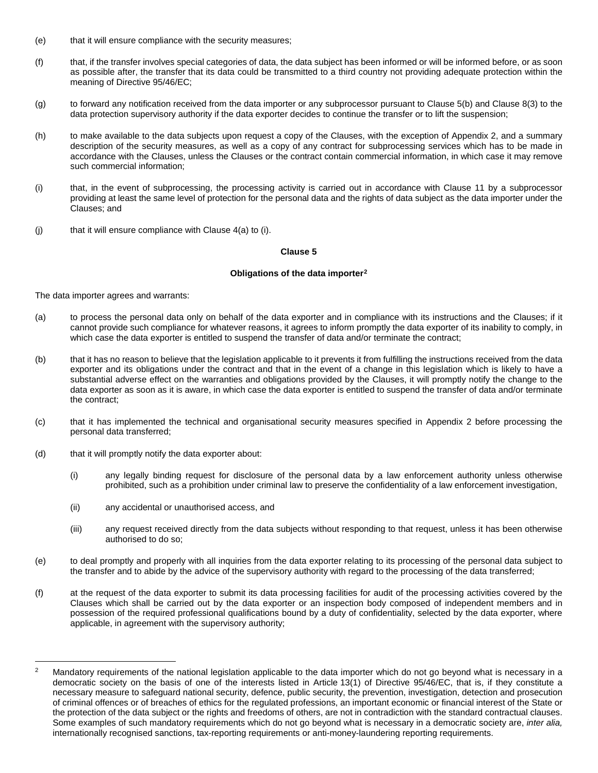- (e) that it will ensure compliance with the security measures;
- (f) that, if the transfer involves special categories of data, the data subject has been informed or will be informed before, or as soon as possible after, the transfer that its data could be transmitted to a third country not providing adequate protection within the meaning of Directive 95/46/EC;
- (g) to forward any notification received from the data importer or any subprocessor pursuant to Clause 5(b) and Clause 8(3) to the data protection supervisory authority if the data exporter decides to continue the transfer or to lift the suspension;
- (h) to make available to the data subjects upon request a copy of the Clauses, with the exception of Appendix 2, and a summary description of the security measures, as well as a copy of any contract for subprocessing services which has to be made in accordance with the Clauses, unless the Clauses or the contract contain commercial information, in which case it may remove such commercial information;
- (i) that, in the event of subprocessing, the processing activity is carried out in accordance with Clause 11 by a subprocessor providing at least the same level of protection for the personal data and the rights of data subject as the data importer under the Clauses; and
- $(j)$  that it will ensure compliance with Clause  $4(a)$  to  $(i)$ .

#### **Clause 5**

## **Obligations of the data importer[2](#page-3-0)**

The data importer agrees and warrants:

- (a) to process the personal data only on behalf of the data exporter and in compliance with its instructions and the Clauses; if it cannot provide such compliance for whatever reasons, it agrees to inform promptly the data exporter of its inability to comply, in which case the data exporter is entitled to suspend the transfer of data and/or terminate the contract;
- (b) that it has no reason to believe that the legislation applicable to it prevents it from fulfilling the instructions received from the data exporter and its obligations under the contract and that in the event of a change in this legislation which is likely to have a substantial adverse effect on the warranties and obligations provided by the Clauses, it will promptly notify the change to the data exporter as soon as it is aware, in which case the data exporter is entitled to suspend the transfer of data and/or terminate the contract;
- (c) that it has implemented the technical and organisational security measures specified in Appendix 2 before processing the personal data transferred;
- (d) that it will promptly notify the data exporter about:
	- (i) any legally binding request for disclosure of the personal data by a law enforcement authority unless otherwise prohibited, such as a prohibition under criminal law to preserve the confidentiality of a law enforcement investigation,
	- (ii) any accidental or unauthorised access, and
	- (iii) any request received directly from the data subjects without responding to that request, unless it has been otherwise authorised to do so;
- (e) to deal promptly and properly with all inquiries from the data exporter relating to its processing of the personal data subject to the transfer and to abide by the advice of the supervisory authority with regard to the processing of the data transferred;
- (f) at the request of the data exporter to submit its data processing facilities for audit of the processing activities covered by the Clauses which shall be carried out by the data exporter or an inspection body composed of independent members and in possession of the required professional qualifications bound by a duty of confidentiality, selected by the data exporter, where applicable, in agreement with the supervisory authority;

<span id="page-3-0"></span> $\overline{c}$ Mandatory requirements of the national legislation applicable to the data importer which do not go beyond what is necessary in a democratic society on the basis of one of the interests listed in Article 13(1) of Directive 95/46/EC, that is, if they constitute a necessary measure to safeguard national security, defence, public security, the prevention, investigation, detection and prosecution of criminal offences or of breaches of ethics for the regulated professions, an important economic or financial interest of the State or the protection of the data subject or the rights and freedoms of others, are not in contradiction with the standard contractual clauses. Some examples of such mandatory requirements which do not go beyond what is necessary in a democratic society are, *inter alia,*  internationally recognised sanctions, tax-reporting requirements or anti-money-laundering reporting requirements.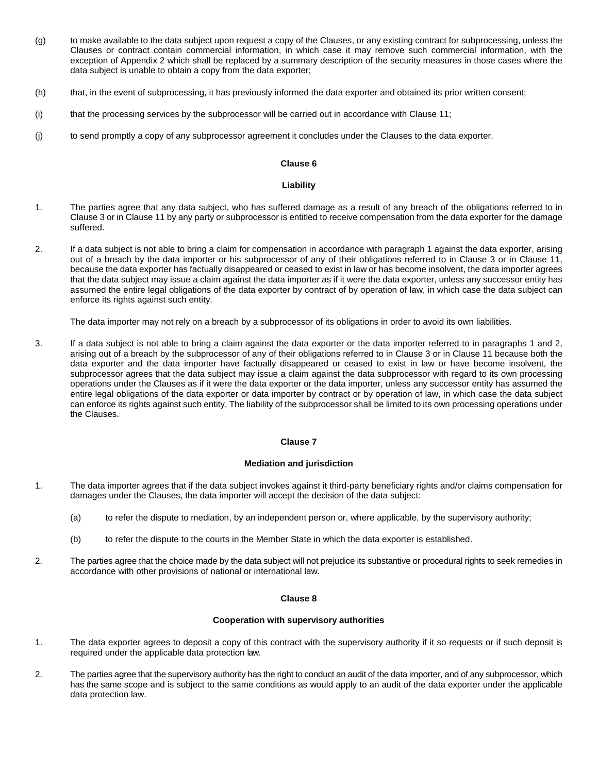- (g) to make available to the data subject upon request a copy of the Clauses, or any existing contract for subprocessing, unless the Clauses or contract contain commercial information, in which case it may remove such commercial information, with the exception of Appendix 2 which shall be replaced by a summary description of the security measures in those cases where the data subject is unable to obtain a copy from the data exporter;
- (h) that, in the event of subprocessing, it has previously informed the data exporter and obtained its prior written consent;
- (i) that the processing services by the subprocessor will be carried out in accordance with Clause 11;
- (j) to send promptly a copy of any subprocessor agreement it concludes under the Clauses to the data exporter.

#### **Clause 6**

#### **Liability**

- 1. The parties agree that any data subject, who has suffered damage as a result of any breach of the obligations referred to in Clause 3 or in Clause 11 by any party or subprocessor is entitled to receive compensation from the data exporter for the damage suffered.
- 2. If a data subject is not able to bring a claim for compensation in accordance with paragraph 1 against the data exporter, arising out of a breach by the data importer or his subprocessor of any of their obligations referred to in Clause 3 or in Clause 11, because the data exporter has factually disappeared or ceased to exist in law or has become insolvent, the data importer agrees that the data subject may issue a claim against the data importer as if it were the data exporter, unless any successor entity has assumed the entire legal obligations of the data exporter by contract of by operation of law, in which case the data subject can enforce its rights against such entity.

The data importer may not rely on a breach by a subprocessor of its obligations in order to avoid its own liabilities.

3. If a data subject is not able to bring a claim against the data exporter or the data importer referred to in paragraphs 1 and 2, arising out of a breach by the subprocessor of any of their obligations referred to in Clause 3 or in Clause 11 because both the data exporter and the data importer have factually disappeared or ceased to exist in law or have become insolvent, the subprocessor agrees that the data subject may issue a claim against the data subprocessor with regard to its own processing operations under the Clauses as if it were the data exporter or the data importer, unless any successor entity has assumed the entire legal obligations of the data exporter or data importer by contract or by operation of law, in which case the data subject can enforce its rights against such entity. The liability of the subprocessor shall be limited to its own processing operations under the Clauses.

## **Clause 7**

#### **Mediation and jurisdiction**

- 1. The data importer agrees that if the data subject invokes against it third-party beneficiary rights and/or claims compensation for damages under the Clauses, the data importer will accept the decision of the data subject:
	- (a) to refer the dispute to mediation, by an independent person or, where applicable, by the supervisory authority;
	- (b) to refer the dispute to the courts in the Member State in which the data exporter is established.
- 2. The parties agree that the choice made by the data subject will not prejudice its substantive or procedural rights to seek remedies in accordance with other provisions of national or international law.

## **Clause 8**

#### **Cooperation with supervisory authorities**

- 1. The data exporter agrees to deposit a copy of this contract with the supervisory authority if it so requests or if such deposit is required under the applicable data protection law.
- 2. The parties agree that the supervisory authority has the right to conduct an audit of the data importer, and of any subprocessor, which has the same scope and is subject to the same conditions as would apply to an audit of the data exporter under the applicable data protection law.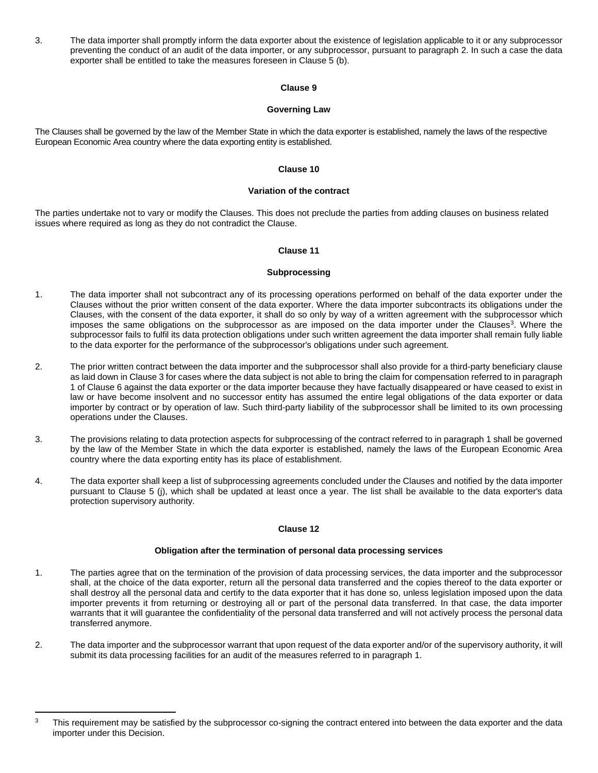3. The data importer shall promptly inform the data exporter about the existence of legislation applicable to it or any subprocessor preventing the conduct of an audit of the data importer, or any subprocessor, pursuant to paragraph 2. In such a case the data exporter shall be entitled to take the measures foreseen in Clause 5 (b).

## **Clause 9**

## **Governing Law**

The Clauses shall be governed by the law of the Member State in which the data exporter is established, namely the laws of the respective European Economic Area country where the data exporting entity is established.

## **Clause 10**

## **Variation of the contract**

The parties undertake not to vary or modify the Clauses. This does not preclude the parties from adding clauses on business related issues where required as long as they do not contradict the Clause.

## **Clause 11**

## **Subprocessing**

- 1. The data importer shall not subcontract any of its processing operations performed on behalf of the data exporter under the Clauses without the prior written consent of the data exporter. Where the data importer subcontracts its obligations under the Clauses, with the consent of the data exporter, it shall do so only by way of a written agreement with the subprocessor which imposes the same obligations on the subprocessor as are imposed on the data importer under the Clauses<sup>[3](#page-5-0)</sup>. Where the subprocessor fails to fulfil its data protection obligations under such written agreement the data importer shall remain fully liable to the data exporter for the performance of the subprocessor's obligations under such agreement.
- 2. The prior written contract between the data importer and the subprocessor shall also provide for a third-party beneficiary clause as laid down in Clause 3 for cases where the data subject is not able to bring the claim for compensation referred to in paragraph 1 of Clause 6 against the data exporter or the data importer because they have factually disappeared or have ceased to exist in law or have become insolvent and no successor entity has assumed the entire legal obligations of the data exporter or data importer by contract or by operation of law. Such third-party liability of the subprocessor shall be limited to its own processing operations under the Clauses.
- 3. The provisions relating to data protection aspects for subprocessing of the contract referred to in paragraph 1 shall be governed by the law of the Member State in which the data exporter is established, namely the laws of the European Economic Area country where the data exporting entity has its place of establishment.
- 4. The data exporter shall keep a list of subprocessing agreements concluded under the Clauses and notified by the data importer pursuant to Clause 5 (j), which shall be updated at least once a year. The list shall be available to the data exporter's data protection supervisory authority.

# **Clause 12**

# **Obligation after the termination of personal data processing services**

- 1. The parties agree that on the termination of the provision of data processing services, the data importer and the subprocessor shall, at the choice of the data exporter, return all the personal data transferred and the copies thereof to the data exporter or shall destroy all the personal data and certify to the data exporter that it has done so, unless legislation imposed upon the data importer prevents it from returning or destroying all or part of the personal data transferred. In that case, the data importer warrants that it will guarantee the confidentiality of the personal data transferred and will not actively process the personal data transferred anymore.
- 2. The data importer and the subprocessor warrant that upon request of the data exporter and/or of the supervisory authority, it will submit its data processing facilities for an audit of the measures referred to in paragraph 1.

 $\overline{a}$ 

<span id="page-5-0"></span><sup>&</sup>lt;sup>3</sup> This requirement may be satisfied by the subprocessor co-signing the contract entered into between the data exporter and the data importer under this Decision.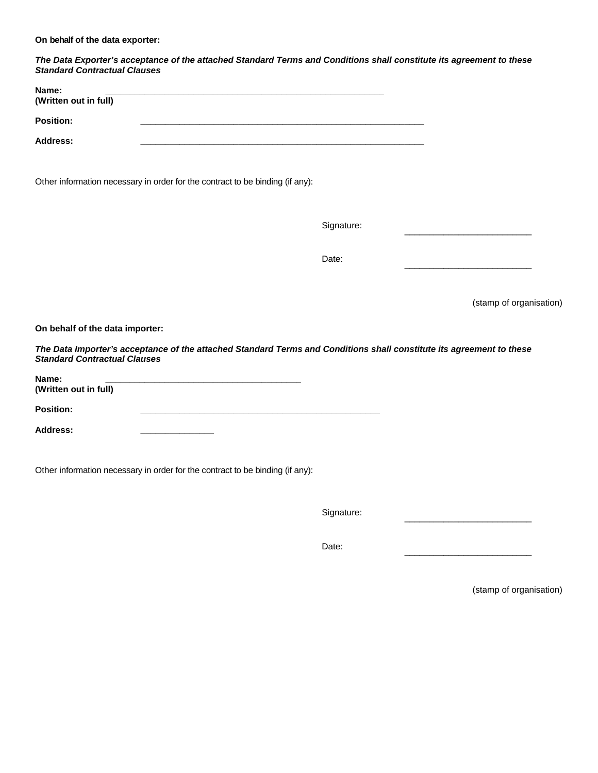**On behalf of the data exporter:**

*The Data Exporter's acceptance of the attached Standard Terms and Conditions shall constitute its agreement to these Standard Contractual Clauses*

| Name:                                                                                                                                                       |            |                         |
|-------------------------------------------------------------------------------------------------------------------------------------------------------------|------------|-------------------------|
| (Written out in full)                                                                                                                                       |            |                         |
| <b>Position:</b>                                                                                                                                            |            |                         |
| <b>Address:</b>                                                                                                                                             |            |                         |
| Other information necessary in order for the contract to be binding (if any):                                                                               |            |                         |
|                                                                                                                                                             | Signature: |                         |
|                                                                                                                                                             | Date:      |                         |
|                                                                                                                                                             |            | (stamp of organisation) |
| On behalf of the data importer:                                                                                                                             |            |                         |
| The Data Importer's acceptance of the attached Standard Terms and Conditions shall constitute its agreement to these<br><b>Standard Contractual Clauses</b> |            |                         |
| Name:<br>(Written out in full)                                                                                                                              |            |                         |
| <b>Position:</b>                                                                                                                                            |            |                         |
| <b>Address:</b>                                                                                                                                             |            |                         |
| Other information necessary in order for the contract to be binding (if any):                                                                               |            |                         |

Signature:

Date: \_\_\_\_\_\_\_\_\_\_\_\_\_\_\_\_\_\_\_\_\_\_\_\_\_\_

(stamp of organisation)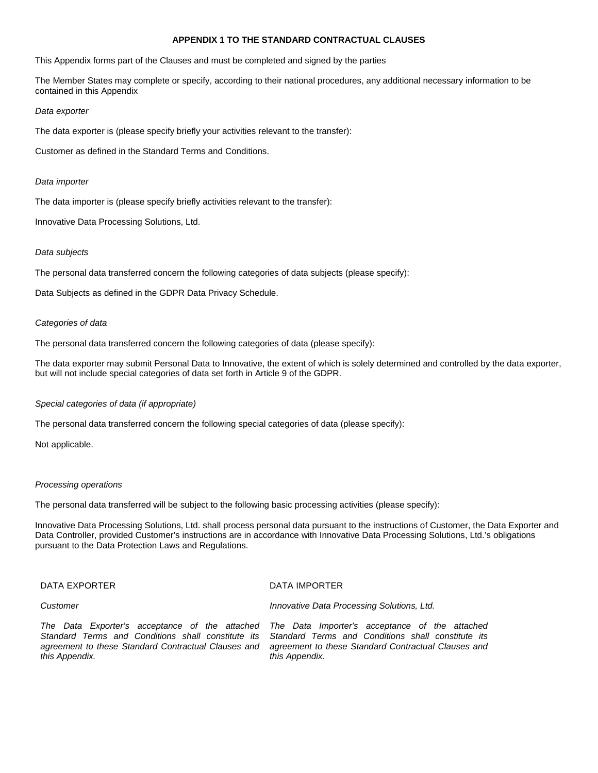## **APPENDIX 1 TO THE STANDARD CONTRACTUAL CLAUSES**

This Appendix forms part of the Clauses and must be completed and signed by the parties

The Member States may complete or specify, according to their national procedures, any additional necessary information to be contained in this Appendix

#### *Data exporter*

The data exporter is (please specify briefly your activities relevant to the transfer):

Customer as defined in the Standard Terms and Conditions.

#### *Data importer*

The data importer is (please specify briefly activities relevant to the transfer):

Innovative Data Processing Solutions, Ltd.

#### *Data subjects*

The personal data transferred concern the following categories of data subjects (please specify):

Data Subjects as defined in the GDPR Data Privacy Schedule.

#### *Categories of data*

The personal data transferred concern the following categories of data (please specify):

The data exporter may submit Personal Data to Innovative, the extent of which is solely determined and controlled by the data exporter, but will not include special categories of data set forth in Article 9 of the GDPR.

#### *Special categories of data (if appropriate)*

The personal data transferred concern the following special categories of data (please specify):

Not applicable.

#### *Processing operations*

The personal data transferred will be subject to the following basic processing activities (please specify):

Innovative Data Processing Solutions, Ltd. shall process personal data pursuant to the instructions of Customer, the Data Exporter and Data Controller, provided Customer's instructions are in accordance with Innovative Data Processing Solutions, Ltd.'s obligations pursuant to the Data Protection Laws and Regulations.

#### DATA EXPORTER DATA IMPORTER

*Customer Innovative Data Processing Solutions, Ltd.*

*The Data Exporter's acceptance of the attached Standard Terms and Conditions shall constitute its agreement to these Standard Contractual Clauses and this Appendix.*

*The Data Importer's acceptance of the attached Standard Terms and Conditions shall constitute its agreement to these Standard Contractual Clauses and this Appendix.*